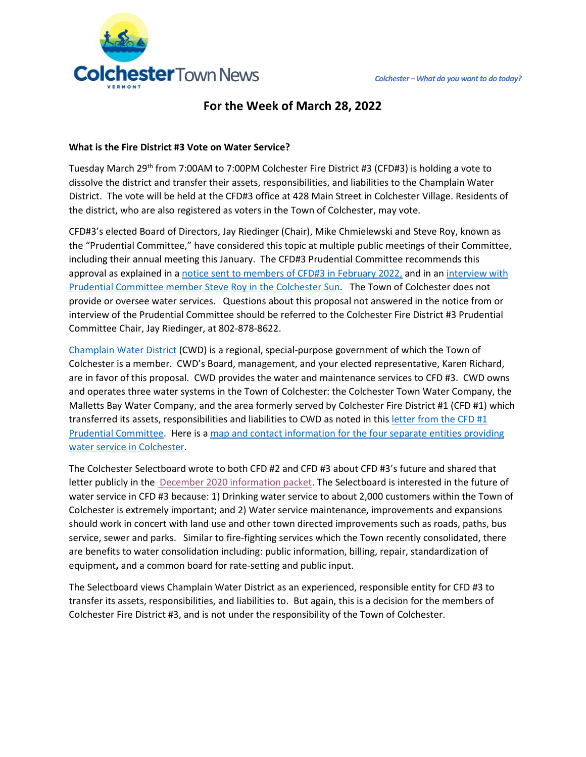

# **For the Week of March 28, 2022**

#### **What is the Fire District #3 Vote on Water Service?**

Tuesday March 29<sup>th</sup> from 7:00AM to 7:00PM Colchester Fire District #3 (CFD#3) is holding a vote to dissolve the district and transfer their assets, responsibilities, and liabilities to the Champlain Water District. The vote will be held at the CFD#3 office at 428 Main Street in Colchester Village. Residents of the district, who are also registered as voters in the Town of Colchester, may vote.

CFD#3's elected Board of Directors, Jay Riedinger (Chair), Mike Chmielewski and Steve Roy, known as the "Prudential Committee," have considered this topic at multiple public meetings of their Committee, including their annual meeting this January. The CFD#3 Prudential Committee recommends this approval as explained in a [notice sent to members of CFD#3 in February 2022,](https://bloximages.newyork1.vip.townnews.com/colchestersun.com/content/tncms/assets/v3/editorial/e/be/ebebd1f9-b63a-590b-b4b6-e972f35e9399/623ceebf9806d.pdf.pdf) and in an interview with [Prudential Committee member Steve Roy in the Colchester Sun.](https://www.colchestersun.com/news/colchester-fire-district-no-3-to-vote-on-whether-or-not-to-dissolve-committee-running/article_94322559-fb99-5c9e-9b28-b49aa517ecbd.html) The Town of Colchester does not provide or oversee water services. Questions about this proposal not answered in the notice from or interview of the Prudential Committee should be referred to the Colchester Fire District #3 Prudential Committee Chair, Jay Riedinger, at 802-878-8622.

[Champlain Water District](http://www.champlainwater.org/) (CWD) is a regional, special-purpose government of which the Town of Colchester is a member. CWD's Board, management, and your elected representative, Karen Richard, are in favor of this proposal. CWD provides the water and maintenance services to CFD #3. CWD owns and operates three water systems in the Town of Colchester: the Colchester Town Water Company, the Malletts Bay Water Company, and the area formerly served by Colchester Fire District #1 (CFD #1) which transferred its assets, responsibilities and liabilities to CWD as noted in this letter from the CFD  $\#1$ [Prudential Committee.](https://clerkshq.com/Content/Attachments/Colchester-vt/info210112_d1.pdf?clientSite=Colchester-vt) Here is a [map and contact information for the four separate entities providing](https://colchestervt.gov/502/Colchester-Water-Supply-Services)  [water service in Colchester.](https://colchestervt.gov/502/Colchester-Water-Supply-Services)

The Colchester Selectboard wrote to both CFD #2 and CFD #3 about CFD #3's future and shared that letter publicly in the [December 2020 information packet.](https://clerkshq.com/Colchester-vt?docId=dec08_20tc&path=Colch_CityCouncil%2CColchester_BOS%2C2020_BOS_MINUTES%2Cdec08_20tc%2C) The Selectboard is interested in the future of water service in CFD #3 because: 1) Drinking water service to about 2,000 customers within the Town of Colchester is extremely important; and 2) Water service maintenance, improvements and expansions should work in concert with land use and other town directed improvements such as roads, paths, bus service, sewer and parks. Similar to fire-fighting services which the Town recently consolidated, there are benefits to water consolidation including: public information, billing, repair, standardization of equipment**,** and a common board for rate-setting and public input.

The Selectboard views Champlain Water District as an experienced, responsible entity for CFD #3 to transfer its assets, responsibilities, and liabilities to. But again, this is a decision for the members of Colchester Fire District #3, and is not under the responsibility of the Town of Colchester.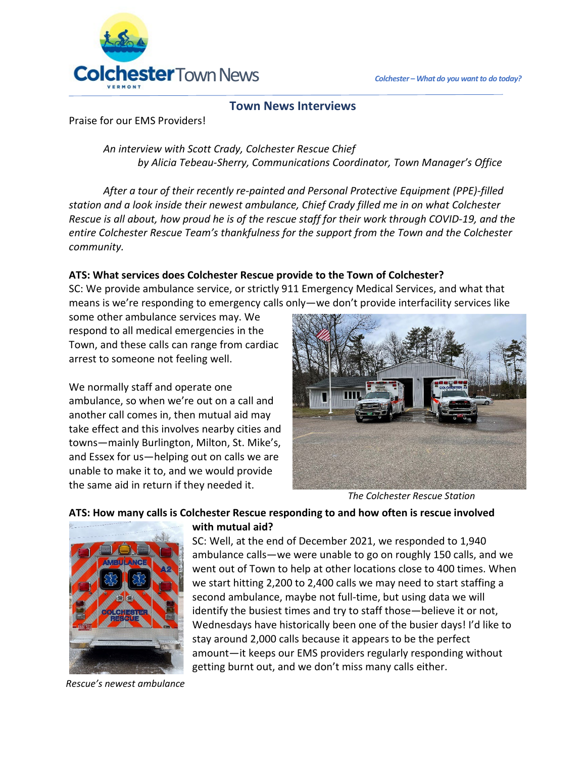

## **Town News Interviews**

Praise for our EMS Providers!

*An interview with Scott Crady, Colchester Rescue Chief by Alicia Tebeau-Sherry, Communications Coordinator, Town Manager's Office*

*After a tour of their recently re-painted and Personal Protective Equipment (PPE)-filled station and a look inside their newest ambulance, Chief Crady filled me in on what Colchester Rescue is all about, how proud he is of the rescue staff for their work through COVID-19, and the entire Colchester Rescue Team's thankfulness for the support from the Town and the Colchester community.*

## **ATS: What services does Colchester Rescue provide to the Town of Colchester?**

SC: We provide ambulance service, or strictly 911 Emergency Medical Services, and what that means is we're responding to emergency calls only—we don't provide interfacility services like

some other ambulance services may. We respond to all medical emergencies in the Town, and these calls can range from cardiac arrest to someone not feeling well.

We normally staff and operate one ambulance, so when we're out on a call and another call comes in, then mutual aid may take effect and this involves nearby cities and towns—mainly Burlington, Milton, St. Mike's, and Essex for us—helping out on calls we are unable to make it to, and we would provide the same aid in return if they needed it.



*The Colchester Rescue Station*

#### **ATS: How many calls is Colchester Rescue responding to and how often is rescue involved with mutual aid?**



SC: Well, at the end of December 2021, we responded to 1,940 ambulance calls—we were unable to go on roughly 150 calls, and we went out of Town to help at other locations close to 400 times. When we start hitting 2,200 to 2,400 calls we may need to start staffing a second ambulance, maybe not full-time, but using data we will identify the busiest times and try to staff those—believe it or not, Wednesdays have historically been one of the busier days! I'd like to stay around 2,000 calls because it appears to be the perfect amount—it keeps our EMS providers regularly responding without getting burnt out, and we don't miss many calls either.

*Rescue's newest ambulance*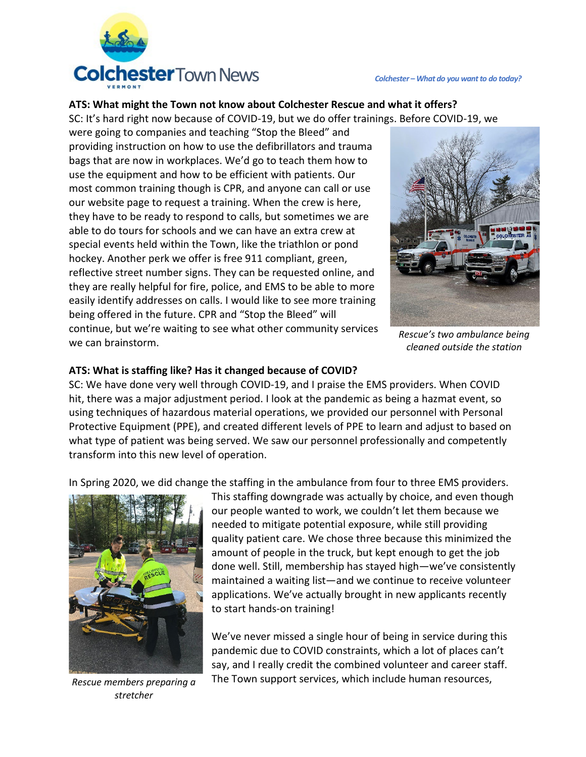

#### **ATS: What might the Town not know about Colchester Rescue and what it offers?**

SC: It's hard right now because of COVID-19, but we do offer trainings. Before COVID-19, we

were going to companies and teaching "Stop the Bleed" and providing instruction on how to use the defibrillators and trauma bags that are now in workplaces. We'd go to teach them how to use the equipment and how to be efficient with patients. Our most common training though is CPR, and anyone can call or use our website page to request a training. When the crew is here, they have to be ready to respond to calls, but sometimes we are able to do tours for schools and we can have an extra crew at special events held within the Town, like the triathlon or pond hockey. Another perk we offer is free 911 compliant, green, reflective street number signs. They can be requested online, and they are really helpful for fire, police, and EMS to be able to more easily identify addresses on calls. I would like to see more training being offered in the future. CPR and "Stop the Bleed" will continue, but we're waiting to see what other community services we can brainstorm.



*Rescue's two ambulance being cleaned outside the station*

#### **ATS: What is staffing like? Has it changed because of COVID?**

SC: We have done very well through COVID-19, and I praise the EMS providers. When COVID hit, there was a major adjustment period. I look at the pandemic as being a hazmat event, so using techniques of hazardous material operations, we provided our personnel with Personal Protective Equipment (PPE), and created different levels of PPE to learn and adjust to based on what type of patient was being served. We saw our personnel professionally and competently transform into this new level of operation.

In Spring 2020, we did change the staffing in the ambulance from four to three EMS providers.



*stretcher*

This staffing downgrade was actually by choice, and even though our people wanted to work, we couldn't let them because we needed to mitigate potential exposure, while still providing quality patient care. We chose three because this minimized the amount of people in the truck, but kept enough to get the job done well. Still, membership has stayed high—we've consistently maintained a waiting list—and we continue to receive volunteer applications. We've actually brought in new applicants recently to start hands-on training!

We've never missed a single hour of being in service during this pandemic due to COVID constraints, which a lot of places can't say, and I really credit the combined volunteer and career staff. The Town support services, which include human resources, *Rescue members preparing a*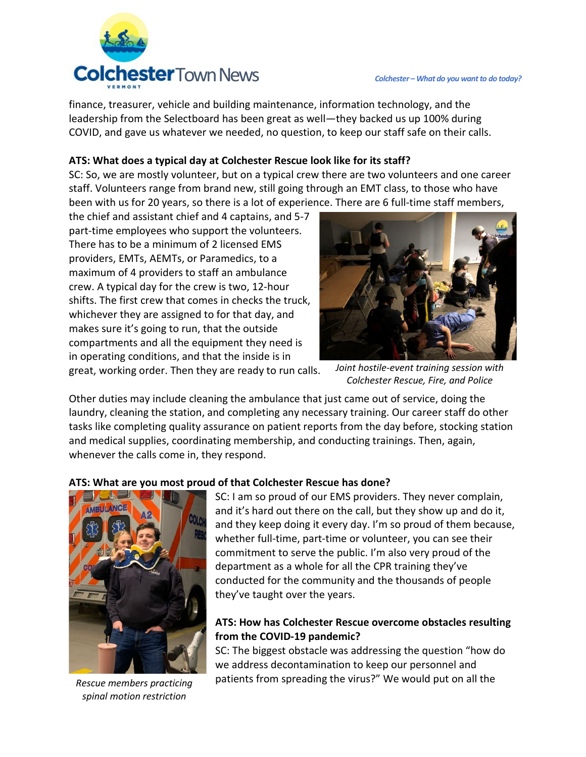

finance, treasurer, vehicle and building maintenance, information technology, and the leadership from the Selectboard has been great as well—they backed us up 100% during COVID, and gave us whatever we needed, no question, to keep our staff safe on their calls.

## **ATS: What does a typical day at Colchester Rescue look like for its staff?**

SC: So, we are mostly volunteer, but on a typical crew there are two volunteers and one career staff. Volunteers range from brand new, still going through an EMT class, to those who have been with us for 20 years, so there is a lot of experience. There are 6 full-time staff members,

the chief and assistant chief and 4 captains, and 5-7 part-time employees who support the volunteers. There has to be a minimum of 2 licensed EMS providers, EMTs, AEMTs, or Paramedics, to a maximum of 4 providers to staff an ambulance crew. A typical day for the crew is two, 12-hour shifts. The first crew that comes in checks the truck, whichever they are assigned to for that day, and makes sure it's going to run, that the outside compartments and all the equipment they need is in operating conditions, and that the inside is in great, working order. Then they are ready to run calls.



*Joint hostile-event training session with Colchester Rescue, Fire, and Police*

Other duties may include cleaning the ambulance that just came out of service, doing the laundry, cleaning the station, and completing any necessary training. Our career staff do other tasks like completing quality assurance on patient reports from the day before, stocking station and medical supplies, coordinating membership, and conducting trainings. Then, again, whenever the calls come in, they respond.

## **ATS: What are you most proud of that Colchester Rescue has done?**



*Rescue members practicing spinal motion restriction*

SC: I am so proud of our EMS providers. They never complain, and it's hard out there on the call, but they show up and do it, and they keep doing it every day. I'm so proud of them because, whether full-time, part-time or volunteer, you can see their commitment to serve the public. I'm also very proud of the department as a whole for all the CPR training they've conducted for the community and the thousands of people they've taught over the years.

## **ATS: How has Colchester Rescue overcome obstacles resulting from the COVID-19 pandemic?**

SC: The biggest obstacle was addressing the question "how do we address decontamination to keep our personnel and patients from spreading the virus?" We would put on all the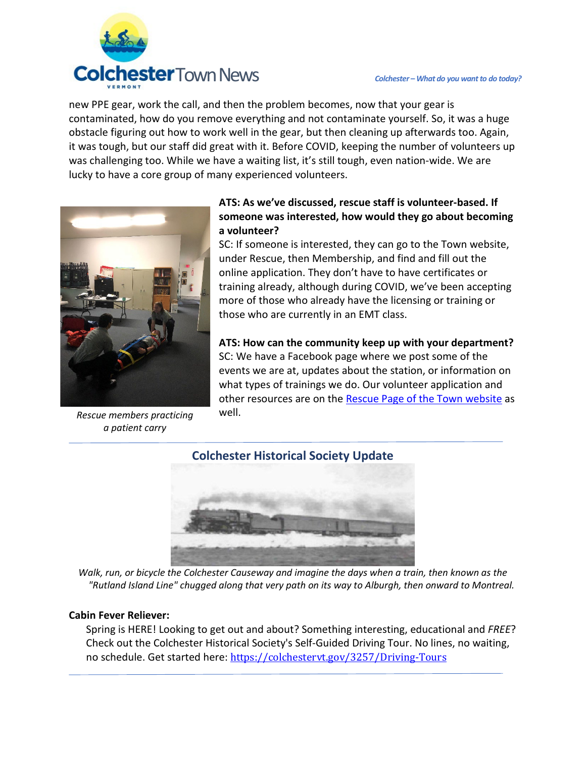

new PPE gear, work the call, and then the problem becomes, now that your gear is contaminated, how do you remove everything and not contaminate yourself. So, it was a huge obstacle figuring out how to work well in the gear, but then cleaning up afterwards too. Again, it was tough, but our staff did great with it. Before COVID, keeping the number of volunteers up was challenging too. While we have a waiting list, it's still tough, even nation-wide. We are lucky to have a core group of many experienced volunteers.



*Rescue members practicing a patient carry*

## **ATS: As we've discussed, rescue staff is volunteer-based. If someone was interested, how would they go about becoming a volunteer?**

SC: If someone is interested, they can go to the Town website, under Rescue, then Membership, and find and fill out the online application. They don't have to have certificates or training already, although during COVID, we've been accepting more of those who already have the licensing or training or those who are currently in an EMT class.

**ATS: How can the community keep up with your department?**  SC: We have a Facebook page where we post some of the events we are at, updates about the station, or information on what types of trainings we do. Our volunteer application and other resources are on the [Rescue Page of the Town website](https://colchestervt.gov/295/Rescue-Squad) as well.



*Walk, run, or bicycle the Colchester Causeway and imagine the days when a train, then known as the "Rutland Island Line" chugged along that very path on its way to Alburgh, then onward to Montreal.*

#### **Cabin Fever Reliever:**

Spring is HERE! Looking to get out and about? Something interesting, educational and *FREE*? Check out the Colchester Historical Society's Self-Guided Driving Tour. No lines, no waiting, no schedule. Get started here: [https://colchestervt.gov/3257/Driving-Tours](https://linkprotect.cudasvc.com/url?a=https%3a%2f%2fcolchestervt.gov%2f3257%2fDriving-Tours%3ffbclid%3dIwAR1x73KhXkUJbVfQy6v09wDQb_LNL7Pg7Qw6ujoulzsEMZ6Xwc_oiO9msA0&c=E,1,1_0VLtSMqvkHNprW_XYuhyP1qFB8cqB9pI8GErD-oX7m_oifYt3pfe8isi7SDGW1DYYqa8aPHqSjBpXQLx9LeFdXWnBeknR2Eo0ko7Jn0yOt&typo=1)